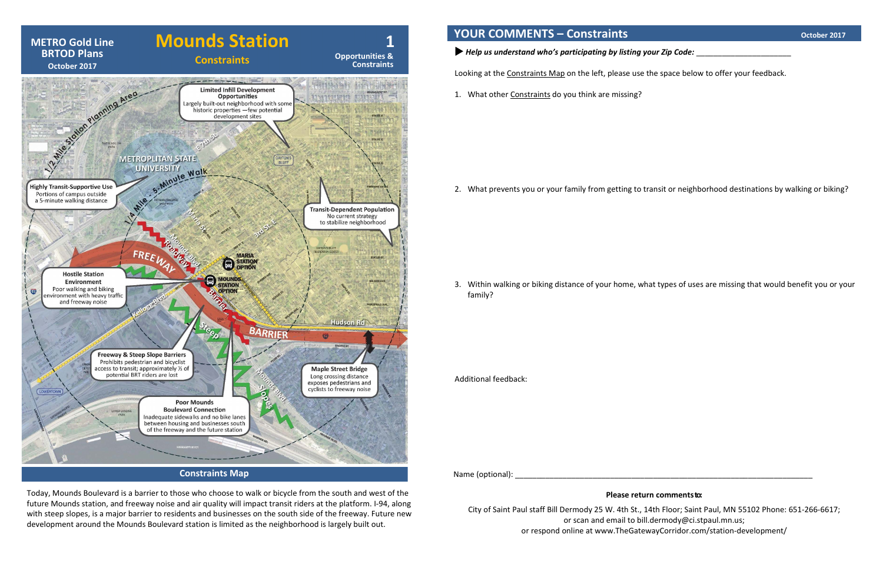Today, Mounds Boulevard is a barrier to those who choose to walk or bicycle from the south and west of the future Mounds station, and freeway noise and air quality will impact transit riders at the platform. I-94, along with steep slopes, is a major barrier to residents and businesses on the south side of the freeway. Future new development around the Mounds Boulevard station is limited as the neighborhood is largely built out.



 **YOUR COMMENTS – Constraints CONSTRAINTS CONSTRAINTS October 2017** 

*Help us understand who's participating by listing your Zip Code:* \_\_\_\_\_\_\_\_\_\_\_\_\_\_\_\_\_\_\_\_\_\_

Looking at the Constraints Map on the left, please use the space below to offer your feedback.

1. What other Constraints do you think are missing?

2. What prevents you or your family from getting to transit or neighborhood destinations by walking or biking?

3. Within walking or biking distance of your home, what types of uses are missing that would benefit you or your

family?

Additional feedback:

Name (optional): \_\_\_\_\_\_\_\_\_\_\_\_\_\_\_\_\_\_\_\_\_\_\_\_\_\_\_\_\_\_\_\_\_\_\_\_\_\_\_\_\_\_\_\_\_\_\_\_\_\_\_\_\_\_\_\_\_\_\_\_\_\_\_\_\_\_\_\_\_

## **Please return commentsto:**

City of Saint Paul staff Bill Dermody 25 W. 4th St., 14th Floor; Saint Paul, MN 55102 Phone: 651-266-6617; or scan and email to bill.dermody@ci.stpaul.mn.us; or respond online at [www.TheGatewayCorridor.com/](http://www.thegatewaycorridor.com/)station-development/